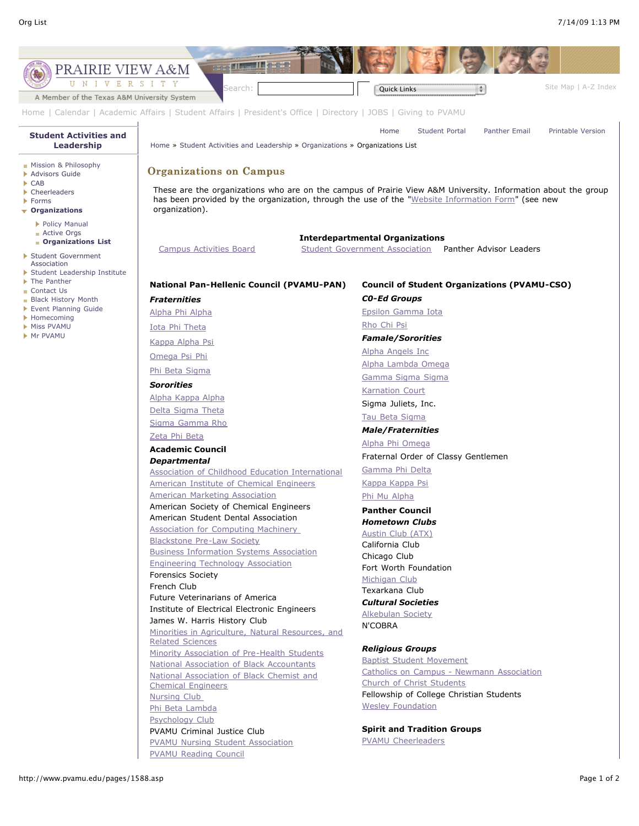